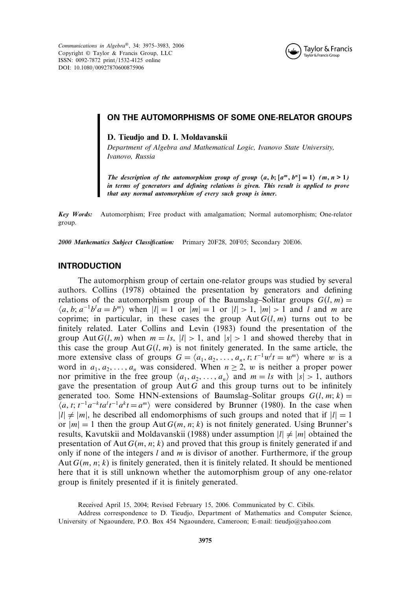*Communications in Algebra*®, 34: 3975–3983, 2006 Copyright © Taylor & Francis Group, LLC ISSN: 0092-7872 print/1532-4125 online DOI: 10.1080/00927870600875906



# ON THE AUTOMORPHISMS OF SOME ONE-RELATOR GROUPS

**D. Tieudjo and D. I. Moldavanskii**

*Department of Algebra and Mathematical Logic, Ivanovo State University, Ivanovo, Russia*

*The description of the automorphism group of group*  $\langle a, b; [a^m, b^n] = 1 \rangle$   $(m, n > 1)$ *in terms of generators and defining relations is given. This result is applied to prove that any normal automorphism of every such group is inner.*

*Key Words:* Automorphism; Free product with amalgamation; Normal automorphism; One-relator group.

*2000 Mathematics Subject Classification:* Primary 20F28, 20F05; Secondary 20E06.

### INTRODUCTION

The automorphism group of certain one-relator groups was studied by several authors. Collins (1978) obtained the presentation by generators and defining relations of the automorphism group of the Baumslag–Solitar groups  $G(l, m)$  =  $\langle a, b; a^{-1}b^l a = b^m \rangle$  when  $|l| = 1$  or  $|m| = 1$  or  $|l| > 1$ ,  $|m| > 1$  and l and m are coprime; in particular, in these cases the group  $Aut G(l,m)$  turns out to be finitely related. Later Collins and Levin (1983) found the presentation of the group Aut  $G(l, m)$  when  $m = ls$ ,  $|l| > 1$ , and  $|s| > 1$  and showed thereby that in this case the group  $\text{Aut } G(l, m)$  is not finitely generated. In the same article, the more extensive class of groups  $G = \langle a_1, a_2, \dots, a_n, t; t^{-1}w^t t = w^m \rangle$  where w is a word in  $a_1, a_2, \ldots, a_n$  was considered. When  $n \ge 2$ , w is neither a proper power nor primitive in the free group  $\langle a_1, a_2, ..., a_n \rangle$  and  $m = ls$  with  $|s| > 1$ , authors gave the presentation of group  $\text{Aut } G$  and this group turns out to be infinitely generated too. Some HNN-extensions of Baumslag–Solitar groups  $G(l, m; k)$  =  $\langle a, t; t^{-1}a^{-k}t a^l t^{-1} a^k t = a^m \rangle$  were considered by Brunner (1980). In the case when  $|l| \neq |m|$ , he described all endomorphisms of such groups and noted that if  $|l| = 1$ or  $|m| = 1$  then the group Aut  $G(m, n; k)$  is not finitely generated. Using Brunner's results, Kavutskii and Moldavanskii (1988) under assumption  $|l| \neq |m|$  obtained the presentation of Aut  $G(m, n; k)$  and proved that this group is finitely generated if and only if none of the integers l and m is divisor of another. Furthermore, if the group Aut  $G(m, n; k)$  is finitely generated, then it is finitely related. It should be mentioned here that it is still unknown whether the automorphism group of any one-relator group is finitely presented if it is finitely generated.

Received April 15, 2004; Revised February 15, 2006. Communicated by C. Cibils.

Address correspondence to D. Tieudjo, Department of Mathematics and Computer Science, University of Ngaoundere, P.O. Box 454 Ngaoundere, Cameroon; E-mail: tieudjo@yahoo.com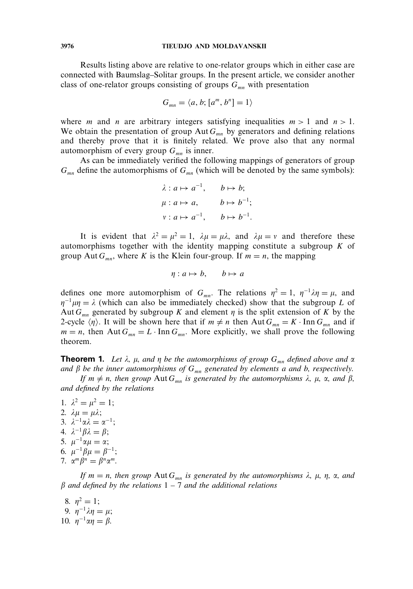#### **3976 TIEUDJO AND MOLDAVANSKII**

Results listing above are relative to one-relator groups which in either case are connected with Baumslag–Solitar groups. In the present article, we consider another class of one-relator groups consisting of groups  $G_{mn}$  with presentation

$$
G_{mn}=\langle a,b; [a^m, b^n]=1\rangle
$$

where *m* and *n* are arbitrary integers satisfying inequalities  $m > 1$  and  $n > 1$ . We obtain the presentation of group Aut  $G_{mn}$  by generators and defining relations and thereby prove that it is finitely related. We prove also that any normal automorphism of every group  $G_{mn}$  is inner.

As can be immediately verified the following mappings of generators of group  $G_{mn}$  define the automorphisms of  $G_{mn}$  (which will be denoted by the same symbols):

$$
\lambda: a \mapsto a^{-1}, \qquad b \mapsto b;
$$
  

$$
\mu: a \mapsto a, \qquad b \mapsto b^{-1};
$$
  

$$
\nu: a \mapsto a^{-1}, \qquad b \mapsto b^{-1}.
$$

It is evident that  $\lambda^2 = \mu^2 = 1$ ,  $\lambda \mu = \mu \lambda$ , and  $\lambda \mu = \nu$  and therefore these automorphisms together with the identity mapping constitute a subgroup  $K$  of group Aut  $G_{mn}$ , where K is the Klein four-group. If  $m = n$ , the mapping

$$
\eta: a \mapsto b, \qquad b \mapsto a
$$

defines one more automorphism of  $G_{mn}$ . The relations  $\eta^2 = 1$ ,  $\eta^{-1}\lambda\eta = \mu$ , and  $\eta^{-1}\mu\eta = \lambda$  (which can also be immediately checked) show that the subgroup L of Aut  $G_{mn}$  generated by subgroup K and element  $\eta$  is the split extension of K by the 2-cycle  $\langle \eta \rangle$ . It will be shown here that if  $m \neq n$  then Aut  $G_{mn} = K \cdot \text{Inn } G_{mn}$  and if  $m = n$ , then Aut  $G_{mn} = L \cdot \text{Inn } G_{mn}$ . More explicitly, we shall prove the following theorem.

**Theorem 1.** Let  $\lambda$ ,  $\mu$ , and  $\eta$  be the automorphisms of group  $G_{mn}$  defined above and  $\alpha$ and  $\beta$  be the inner automorphisms of  $G_{mn}$  generated by elements a and b, respectively.

*If*  $m \neq n$ , then group  $\text{Aut } G_{mn}$  is generated by the automorphisms  $\lambda$ ,  $\mu$ ,  $\alpha$ , and  $\beta$ , *and defined by the relations*

1.  $\lambda^2 = \mu^2 = 1;$ 2.  $\lambda \mu = \mu \lambda;$ 3.  $\lambda^{-1} \alpha \lambda = \alpha^{-1}$ ; *4.*  $\lambda^{-1} \beta \lambda = \beta$ ; 5.  $\mu^{-1} \alpha \mu = \alpha;$ 6.  $\mu^{-1}\beta\mu = \beta^{-1}$ ; 7.  $\alpha^m \beta^n = \beta^n \alpha^m$ .

*If*  $m = n$ , then group  $\text{Aut } G_{mn}$  is generated by the automorphisms  $\lambda$ ,  $\mu$ ,  $\eta$ ,  $\alpha$ , and *and defined by the relations 1 – 7 and the additional relations*

8.  $\eta^2 = 1$ ; 9.  $η^{-1}λη = μ;$ 10.  $\eta^{-1} \alpha \eta = \beta$ .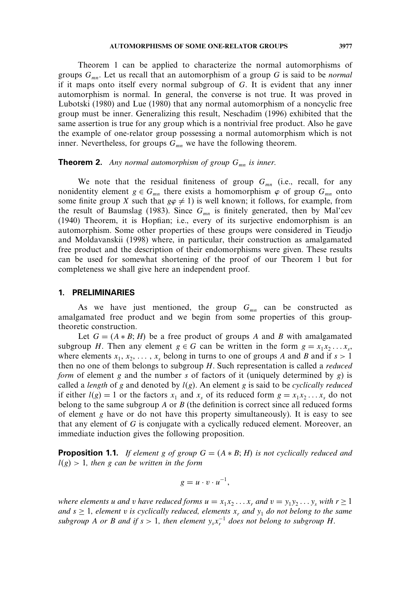Theorem 1 can be applied to characterize the normal automorphisms of groups  $G_{mn}$ . Let us recall that an automorphism of a group G is said to be *normal* if it maps onto itself every normal subgroup of G. It is evident that any inner automorphism is normal. In general, the converse is not true. It was proved in Lubotski (1980) and Lue (1980) that any normal automorphism of a noncyclic free group must be inner. Generalizing this result, Neschadim (1996) exhibited that the same assertion is true for any group which is a nontrivial free product. Also he gave the example of one-relator group possessing a normal automorphism which is not inner. Nevertheless, for groups  $G_{mn}$  we have the following theorem.

## **Theorem 2.** Any normal automorphism of group  $G_{mn}$  is inner.

We note that the residual finiteness of group  $G_{mn}$  (i.e., recall, for any nonidentity element  $g \in G_{mn}$  there exists a homomorphism  $\varphi$  of group  $G_{mn}$  onto some finite group X such that  $g\varphi \neq 1$ ) is well known; it follows, for example, from the result of Baumslag (1983). Since  $G_{mn}$  is finitely generated, then by Mal'cev (1940) Theorem, it is Hopfian; i.e., every of its surjective endomorphism is an automorphism. Some other properties of these groups were considered in Tieudjo and Moldavanskii (1998) where, in particular, their construction as amalgamated free product and the description of their endomorphisms were given. These results can be used for somewhat shortening of the proof of our Theorem 1 but for completeness we shall give here an independent proof.

#### 1. PRELIMINARIES

As we have just mentioned, the group  $G_{mn}$  can be constructed as amalgamated free product and we begin from some properties of this grouptheoretic construction.

Let  $G = (A * B; H)$  be a free product of groups A and B with amalgamated subgroup H. Then any element  $g \in G$  can be written in the form  $g = x_1 x_2 \dots x_s$ , where elements  $x_1, x_2, \ldots, x_s$  belong in turns to one of groups A and B and if  $s > 1$ then no one of them belongs to subgroup H. Such representation is called a *reduced form* of element g and the number s of factors of it (uniquely determined by  $g$ ) is called a *length* of g and denoted by  $l(g)$ . An element g is said to be *cyclically reduced* if either  $l(g) = 1$  or the factors  $x_1$  and  $x_s$  of its reduced form  $g = x_1 x_2 \dots x_s$  do not belong to the same subgroup A or B (the definition is correct since all reduced forms of element  $g$  have or do not have this property simultaneously). It is easy to see that any element of  $G$  is conjugate with a cyclically reduced element. Moreover, an immediate induction gives the following proposition.

**Proposition 1.1.** *If element* g *of group*  $G = (A * B; H)$  *is not cyclically reduced and*  $l(g) > 1$ , then g can be written in the form

$$
g=u\cdot v\cdot u^{-1},
$$

*where elements* u *and* v *have reduced forms*  $u = x_1x_2...x_r$  *and*  $v = y_1y_2...y_s$  *with*  $r \ge 1$ *and*  $s \geq 1$ *, element v is cyclically reduced, elements*  $x_r$  *and*  $y_1$  *do not belong to the same*  $subgroup \, A \, or \, B \, and \, if \, s > 1, \, then \, element \, y_s x_r^{-1} \, does \, not \, belong \, to \, subgroup \, H.$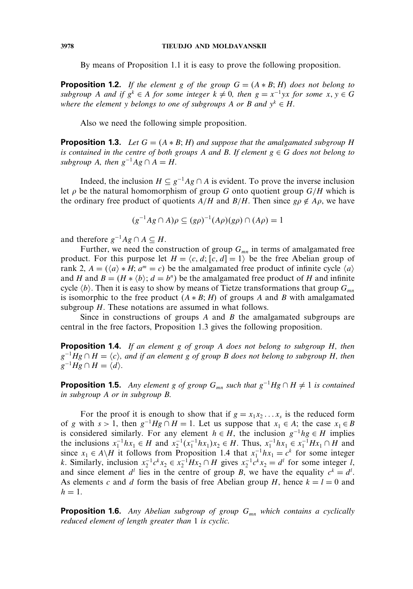By means of Proposition 1.1 it is easy to prove the following proposition.

**Proposition 1.2.** *If the element* g *of the group*  $G = (A * B; H)$  *does not belong to*  $subgroup A$  *and* if  $g^k \in A$  *for some integer*  $k \neq 0$ *, then*  $g = x^{-1}yx$  *for some*  $x, y \in G$ *where the element* y *belongs to one of subgroups* A *or* B and  $y^k \in H$ .

Also we need the following simple proposition.

**Proposition 1.3.** Let  $G = (A * B; H)$  and suppose that the amalgamated subgroup H *is contained in the centre of both groups* A *and* B. If element  $g \in G$  *does not belong to subgroup* A, then  $g^{-1}Ag \cap A = H$ .

Indeed, the inclusion  $H \subseteq g^{-1}Ag \cap A$  is evident. To prove the inverse inclusion let  $\rho$  be the natural homomorphism of group G onto quotient group  $G/H$  which is the ordinary free product of quotients  $A/H$  and  $B/H$ . Then since  $g \rho \notin A \rho$ , we have

$$
(g^{-1}Ag \cap A)\rho \subseteq (g\rho)^{-1}(A\rho)(g\rho) \cap (A\rho) = 1
$$

and therefore  $g^{-1}Ag \cap A \subseteq H$ .

Further, we need the construction of group  $G_{mn}$  in terms of amalgamated free product. For this purpose let  $H = \langle c, d, [c, d] = 1 \rangle$  be the free Abelian group of rank 2,  $A = (\langle a \rangle * H; a^m = c)$  be the amalgamated free product of infinite cycle  $\langle a \rangle$ and H and  $B = (H \ast \langle b \rangle; d = b^n)$  be the amalgamated free product of H and infinite cycle  $\langle b \rangle$ . Then it is easy to show by means of Tietze transformations that group  $G_{mn}$ is isomorphic to the free product  $(A * B; H)$  of groups A and B with amalgamated subgroup  $H$ . These notations are assumed in what follows.

Since in constructions of groups  $A$  and  $B$  the amalgamated subgroups are central in the free factors, Proposition 1.3 gives the following proposition.

Proposition 1.4. *If an element* g *of group* A *does not belong to subgroup* H*, then*  $g^{-1}Hg \cap H = \langle c \rangle$ , and if an element g of group B does not belong to subgroup H, then  $g^{-1}Hg \cap H = \langle d \rangle.$ 

**Proposition 1.5.** *Any element* g *of group*  $G_{mn}$  *such that*  $g^{-1}Hg \cap H \neq 1$  *is contained in subgroup* A *or in subgroup* B*.*

For the proof it is enough to show that if  $g = x_1x_2...x_s$  is the reduced form of g with  $s > 1$ , then  $g^{-1}Hg \cap H = 1$ . Let us suppose that  $x_1 \in A$ ; the case  $x_1 \in B$ is considered similarly. For any element  $h \in H$ , the inclusion  $g^{-1}hg \in H$  implies the inclusions  $x_1^{-1}hx_1 \in H$  and  $x_2^{-1}(x_1^{-1}hx_1)x_2 \in H$ . Thus,  $x_1^{-1}hx_1 \in x_1^{-1}Hx_1 \cap H$  and since  $x_1 \in A \backslash H$  it follows from Proposition 1.4 that  $x_1^{-1} h x_1 = c^k$  for some integer k. Similarly, inclusion  $x_2^{-1}c^k x_2 \in x_2^{-1}Hx_2 \cap H$  gives  $x_2^{-1}c^k x_2 = d^l$  for some integer l, and since element  $d^l$  lies in the centre of group B, we have the equality  $c^k = d^l$ . As elements c and d form the basis of free Abelian group H, hence  $k = l = 0$  and  $h=1$ .

**Proposition 1.6.** Any Abelian subgroup of group  $G_{mn}$  which contains a cyclically *reduced element of length greater than 1 is cyclic.*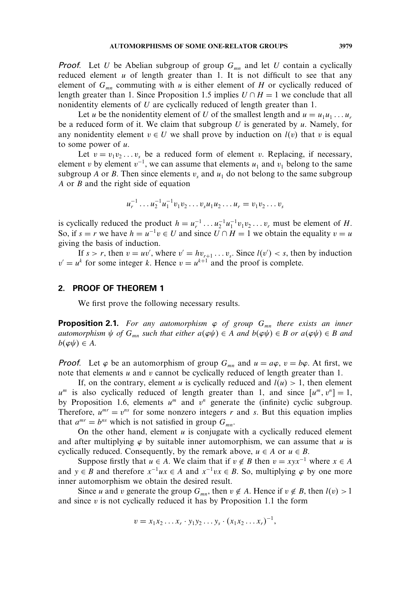**Proof.** Let U be Abelian subgroup of group  $G_{mn}$  and let U contain a cyclically reduced element  $u$  of length greater than 1. It is not difficult to see that any element of  $G_{mn}$  commuting with u is either element of H or cyclically reduced of length greater than 1. Since Proposition 1.5 implies  $U \cap H = 1$  we conclude that all nonidentity elements of U are cyclically reduced of length greater than 1.

Let u be the nonidentity element of U of the smallest length and  $u = u_1u_1...u_r$ be a reduced form of it. We claim that subgroup U is generated by  $u$ . Namely, for any nonidentity element  $v \in U$  we shall prove by induction on  $l(v)$  that v is equal to some power of  $u$ .

Let  $v = v_1v_2...v_s$  be a reduced form of element v. Replacing, if necessary, element v by element  $v^{-1}$ , we can assume that elements  $u_1$  and  $v_1$  belong to the same subgroup A or B. Then since elements  $v_s$  and  $u_1$  do not belong to the same subgroup A or B and the right side of equation

$$
u_r^{-1} \dots u_2^{-1} u_1^{-1} v_1 v_2 \dots v_s u_1 u_2 \dots u_r = v_1 v_2 \dots v_s
$$

is cyclically reduced the product  $h = u_r^{-1} \dots u_2^{-1} u_1^{-1} v_1 v_2 \dots v_r$  must be element of H. So, if  $s = r$  we have  $h = u^{-1}v \in U$  and since  $U \cap H = 1$  we obtain the equality  $v = u$ giving the basis of induction.

If  $s > r$ , then  $v = uv'$ , where  $v' = hv_{r+1} \dots v_s$ . Since  $l(v') < s$ , then by induction  $v' = u^k$  for some integer k. Hence  $v = u^{k+1}$  and the proof is complete.

### 2. PROOF OF THEOREM 1

We first prove the following necessary results.

**Proposition 2.1.** For any automorphism  $\varphi$  of group  $G_{mn}$  there exists an inner *automorphism*  $\psi$  *of*  $G_{mn}$  *such that either*  $a(\varphi\psi) \in A$  *and*  $b(\varphi\psi) \in B$  *or*  $a(\varphi\psi) \in B$  *and*  $b(\varphi\psi) \in A$ .

**Proof.** Let  $\varphi$  be an automorphism of group  $G_{mn}$  and  $u = a\varphi$ ,  $v = b\varphi$ . At first, we note that elements u and v cannot be cyclically reduced of length greater than 1.

If, on the contrary, element u is cyclically reduced and  $l(u) > 1$ , then element  $u^m$  is also cyclically reduced of length greater than 1, and since  $[u^m, v^n] = 1$ , by Proposition 1.6, elements  $u^m$  and  $v^n$  generate the (infinite) cyclic subgroup. Therefore,  $u^{mr} = v^{ns}$  for some nonzero integers r and s. But this equation implies that  $a^{mr} = b^{ns}$  which is not satisfied in group  $G_{mn}$ .

On the other hand, element  $u$  is conjugate with a cyclically reduced element and after multiplying  $\varphi$  by suitable inner automorphism, we can assume that u is cyclically reduced. Consequently, by the remark above,  $u \in A$  or  $u \in B$ .

Suppose firstly that  $u \in A$ . We claim that if  $v \notin B$  then  $v = xyx^{-1}$  where  $x \in A$ and  $y \in B$  and therefore  $x^{-1}ux \in A$  and  $x^{-1}vx \in B$ . So, multiplying  $\varphi$  by one more inner automorphism we obtain the desired result.

Since *u* and *v* generate the group  $G_{mn}$ , then  $v \notin A$ . Hence if  $v \notin B$ , then  $l(v) > 1$ and since  $v$  is not cyclically reduced it has by Proposition 1.1 the form

$$
v = x_1 x_2 \dots x_r \cdot y_1 y_2 \dots y_s \cdot (x_1 x_2 \dots x_r)^{-1},
$$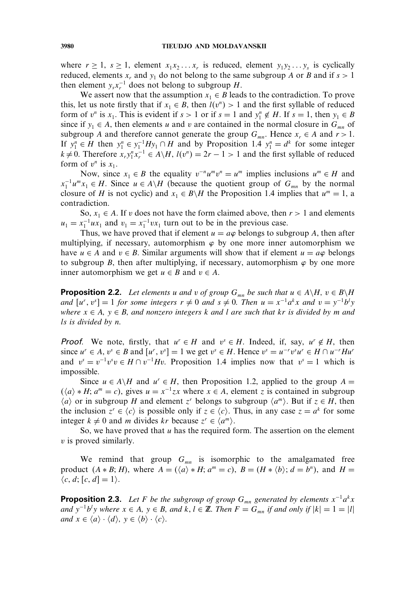where  $r \ge 1$ ,  $s \ge 1$ , element  $x_1x_2...x_r$  is reduced, element  $y_1y_2...y_s$  is cyclically reduced, elements  $x_r$  and  $y_1$  do not belong to the same subgroup A or B and if  $s > 1$ then element  $y_s x_r^{-1}$  does not belong to subgroup H.

We assert now that the assumption  $x_1 \in B$  leads to the contradiction. To prove this, let us note firstly that if  $x_1 \in B$ , then  $l(v^n) > 1$  and the first syllable of reduced form of  $v^n$  is  $x_1$ . This is evident if  $s > 1$  or if  $s = 1$  and  $y_1^n \notin H$ . If  $s = 1$ , then  $y_1 \in B$ since if  $y_1 \in A$ , then elements u and v are contained in the normal closure in  $G_{mn}$  of subgroup A and therefore cannot generate the group  $G_{mn}$ . Hence  $x_r \in A$  and  $r > 1$ . If  $y_1^n \in H$  then  $y_1^n \in y_1^{-1}Hy_1 \cap H$  and by Proposition 1.4  $y_1^n = d^k$  for some integer  $k \neq 0$ . Therefore  $x_r y_1^n x_r^{-1} \in A \backslash H$ ,  $l(v^n) = 2r - 1 > 1$  and the first syllable of reduced form of  $v^n$  is  $x_1$ .

Now, since  $x_1 \in B$  the equality  $v^{-n}u^mv^n = u^m$  implies inclusions  $u^m \in H$  and  $x_1^{-1}u^m x_1 \in H$ . Since  $u \in A \backslash H$  (because the quotient group of  $G_{mn}$  by the normal closure of H is not cyclic) and  $x_1 \in B\backslash H$  the Proposition 1.4 implies that  $u^m = 1$ , a contradiction.

So,  $x_1 \in A$ . If v does not have the form claimed above, then  $r > 1$  and elements  $u_1 = x_1^{-1} u x_1$  and  $v_1 = x_1^{-1} v x_1$  turn out to be in the previous case.

Thus, we have proved that if element  $u = a\varphi$  belongs to subgroup A, then after multiplying, if necessary, automorphism  $\varphi$  by one more inner automorphism we have  $u \in A$  and  $v \in B$ . Similar arguments will show that if element  $u = a\varphi$  belongs to subgroup B, then after multiplying, if necessary, automorphism  $\varphi$  by one more inner automorphism we get  $u \in B$  and  $v \in A$ .

**Proposition 2.2.** *Let elements* u *and* v of group  $G_{mn}$  be such that  $u \in A \backslash H$ ,  $v \in B \backslash H$ *and*  $[u^r, v^s] = 1$  *for some integers*  $r \neq 0$  *and*  $s \neq 0$ *. Then*  $u = x^{-1}a^kx$  *and*  $v = y^{-1}b^l y$ *where*  $x \in A$ ,  $y \in B$ , and nonzero integers k and l are such that kr is divided by m and ls *is divided by* n*.*

**Proof.** We note, firstly, that  $u^r \in H$  and  $v^s \in H$ . Indeed, if, say,  $u^r \notin H$ , then since  $u^r \in A$ ,  $v^s \in B$  and  $[u^r, v^s] = 1$  we get  $v^s \in H$ . Hence  $v^s = u^{-r}v^s u^r \in H \cap u^{-r}Hu^r$ and  $v^s = v^{-1}v^s v \in H \cap v^{-1}Hv$ . Proposition 1.4 implies now that  $v^s = 1$  which is impossible.

Since  $u \in A \backslash H$  and  $u^r \in H$ , then Proposition 1.2, applied to the group  $A =$  $(\langle a \rangle * H; a^m = c)$ , gives  $u = x^{-1}zx$  where  $x \in A$ , element z is contained in subgroup  $\langle a \rangle$  or in subgroup H and element z<sup>r</sup> belongs to subgroup  $\langle a^m \rangle$ . But if  $z \in H$ , then the inclusion  $z^r \in \langle c \rangle$  is possible only if  $z \in \langle c \rangle$ . Thus, in any case  $z = a^k$  for some integer  $k \neq 0$  and m divides kr because  $z^r \in \langle a^m \rangle$ .

So, we have proved that  $u$  has the required form. The assertion on the element v is proved similarly.

We remind that group  $G_{mn}$  is isomorphic to the amalgamated free product  $(A * B; H)$ , where  $A = (\langle a \rangle * H; a^m = c)$ ,  $B = (H * \langle b \rangle; d = b^n)$ , and  $H =$  $\langle c, d; [c, d] = 1 \rangle$ .

**Proposition 2.3.** Let F be the subgroup of group  $G_{mn}$  generated by elements  $x^{-1}a^k x$ *and*  $y^{-1}b^{l}y$  *where*  $x \in A$ ,  $y \in B$ *, and*  $k, l \in \mathbb{Z}$ *. Then*  $F = G_{mn}$  *if and only if*  $|k| = 1 = |l|$ *and*  $x \in \langle a \rangle \cdot \langle d \rangle$ ,  $y \in \langle b \rangle \cdot \langle c \rangle$ .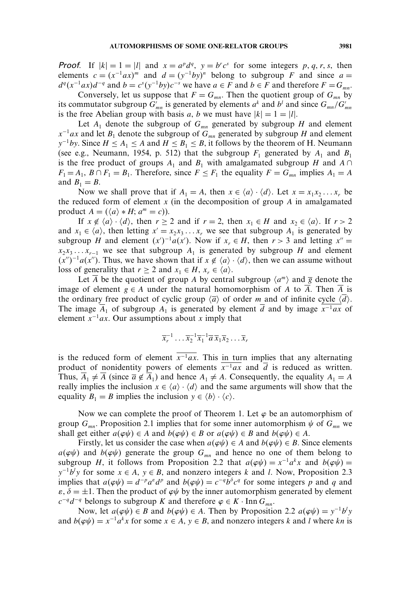**Proof.** If  $|k| = 1 = |l|$  and  $x = a^p d^q$ ,  $y = b^r c^s$  for some integers p, q, r, s, then elements  $c = (x^{-1}ax)^m$  and  $d = (y^{-1}by)^n$  belong to subgroup F and since  $a =$  $d^q(x^{-1}ax)d^{-q}$  and  $b = c^s(y^{-1}by)c^{-s}$  we have  $a \in F$  and  $b \in F$  and therefore  $F = G_{mn}$ .

Conversely, let us suppose that  $F = G_{mn}$ . Then the quotient group of  $G_{mn}$  by its commutator subgroup  $G'_{mn}$  is generated by elements  $a^k$  and  $b^l$  and since  $G_{mn}/G'_{mn}$ is the free Abelian group with basis a, b we must have  $|k| = 1 = |l|$ .

Let  $A_1$  denote the subgroup of  $G_{mn}$  generated by subgroup H and element  $x^{-1}ax$  and let  $B_1$  denote the subgroup of  $G_{mn}$  generated by subgroup H and element  $y^{-1}by$ . Since  $H \leq A_1 \leq A$  and  $H \leq B_1 \leq B$ , it follows by the theorem of H. Neumann (see e.g., Neumann, 1954, p. 512) that the subgroup  $F_1$  generated by  $A_1$  and  $B_1$ is the free product of groups  $A_1$  and  $B_1$  with amalgamated subgroup H and  $A \cap$  $F_1 = A_1$ ,  $B \cap F_1 = B_1$ . Therefore, since  $F \le F_1$  the equality  $F = G_{mn}$  implies  $A_1 = A$ and  $B_1 = B$ .

Now we shall prove that if  $A_1 = A$ , then  $x \in \langle a \rangle \cdot \langle d \rangle$ . Let  $x = x_1 x_2 \dots x_r$  be the reduced form of element  $x$  (in the decomposition of group  $A$  in amalgamated product  $A = (\langle a \rangle * H; a^m = c)).$ 

If  $x \notin \langle a \rangle \cdot \langle d \rangle$ , then  $r \ge 2$  and if  $r = 2$ , then  $x_1 \in H$  and  $x_2 \in \langle a \rangle$ . If  $r > 2$ and  $x_1 \in \langle a \rangle$ , then letting  $x' = x_2 x_3 \dots x_r$ , we see that subgroup  $A_1$  is generated by subgroup *H* and element  $(x')^{-1}a(x')$ . Now if  $x_r \in H$ , then  $r > 3$  and letting  $x'' =$  $x_2x_3 \ldots x_{r-1}$  we see that subgroup  $A_1$  is generated by subgroup H and element  $(x'')^{-1}a(x'')$ . Thus, we have shown that if  $x \notin \langle a \rangle \cdot \langle d \rangle$ , then we can assume without loss of generality that  $r \geq 2$  and  $x_1 \in H$ ,  $x_r \in \langle a \rangle$ .

Let  $\overline{A}$  be the quotient of group A by central subgroup  $\langle a^m \rangle$  and  $\overline{g}$  denote the image of element  $g \in A$  under the natural homomorphism of A to A. Then A is the ordinary free product of cyclic group  $\langle \overline{a} \rangle$  of order m and of infinite cycle  $\langle d \rangle$ . The image  $\overline{A}_1$  of subgroup  $A_1$  is generated by element  $\overline{d}$  and by image  $x^{-1}ax$  of element  $x^{-1}ax$ . Our assumptions about x imply that

$$
\overline{x}_r^{-1} \dots \overline{x}_2^{-1} \overline{x}_1^{-1} \overline{a} \, \overline{x}_1 \overline{x}_2 \dots \overline{x}_r
$$

is the reduced form of element  $\overline{x^{-1}ax}$ . This in turn implies that any alternating product of nonidentity powers of elements  $x^{-1}ax$  and  $\overline{d}$  is reduced as written. Thus,  $\overline{A}_1 \neq \overline{A}$  (since  $\overline{a} \notin \overline{A}_1$ ) and hence  $A_1 \neq A$ . Consequently, the equality  $A_1 = A$ really implies the inclusion  $x \in \langle a \rangle \cdot \langle d \rangle$  and the same arguments will show that the equality  $B_1 = B$  implies the inclusion  $y \in \langle b \rangle \cdot \langle c \rangle$ .

Now we can complete the proof of Theorem 1. Let  $\varphi$  be an automorphism of group  $G_{mn}$ . Proposition 2.1 implies that for some inner automorphism  $\psi$  of  $G_{mn}$  we shall get either  $a(\varphi\psi) \in A$  and  $b(\varphi\psi) \in B$  or  $a(\varphi\psi) \in B$  and  $b(\varphi\psi) \in A$ .

Firstly, let us consider the case when  $a(\varphi\psi) \in A$  and  $b(\varphi\psi) \in B$ . Since elements  $a(\varphi\psi)$  and  $b(\varphi\psi)$  generate the group  $G_{mn}$  and hence no one of them belong to subgroup H, it follows from Proposition 2.2 that  $a(\varphi \psi) = x^{-1}a^k x$  and  $b(\varphi \psi) =$  $y^{-1}b'y$  for some  $x \in A$ ,  $y \in B$ , and nonzero integers k and l. Now, Proposition 2.3 implies that  $a(\varphi\psi) = d^{-p}a^{\varphi}d^{p}$  and  $b(\varphi\psi) = c^{-q}b^{\delta}c^{q}$  for some integers p and q and  $\varepsilon$ ,  $\delta = \pm 1$ . Then the product of  $\varphi \psi$  by the inner automorphism generated by element  $c^{-q}d^{-q}$  belongs to subgroup K and therefore  $\varphi \in K \cdot \text{Inn } G_{mn}$ .

Now, let  $a(\varphi \psi) \in B$  and  $b(\varphi \psi) \in A$ . Then by Proposition 2.2  $a(\varphi \psi) = y^{-1}b^ly$ and  $b(\varphi \psi) = x^{-1}a^k x$  for some  $x \in A$ ,  $y \in B$ , and nonzero integers k and l where kn is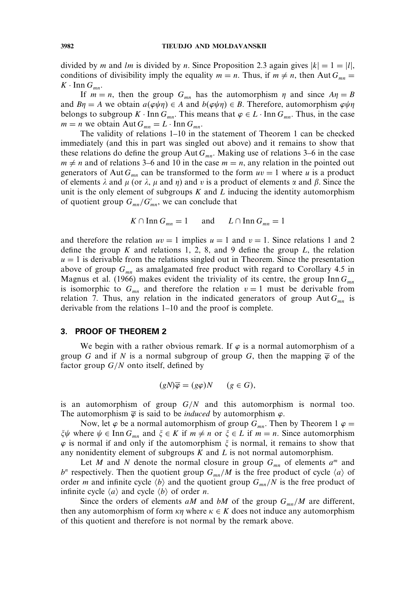divided by m and lm is divided by n. Since Proposition 2.3 again gives  $|k| = 1 = |l|$ , conditions of divisibility imply the equality  $m = n$ . Thus, if  $m \neq n$ , then Aut  $G_{mn} =$  $K \cdot \text{Inn } G_{mn}.$ 

If  $m = n$ , then the group  $G_{mn}$  has the automorphism  $\eta$  and since  $A\eta = B$ and  $B\eta = A$  we obtain  $a(\varphi \psi \eta) \in A$  and  $b(\varphi \psi \eta) \in B$ . Therefore, automorphism  $\varphi \psi \eta$ belongs to subgroup K · Inn  $G_{mn}$ . This means that  $\varphi \in L$  · Inn  $G_{mn}$ . Thus, in the case  $m = n$  we obtain Aut  $G_{mn} = L \cdot \text{Inn } G_{mn}$ .

The validity of relations 1–10 in the statement of Theorem 1 can be checked immediately (and this in part was singled out above) and it remains to show that these relations do define the group Aut  $G_{mn}$ . Making use of relations 3–6 in the case  $m \neq n$  and of relations 3–6 and 10 in the case  $m = n$ , any relation in the pointed out generators of Aut  $G_{mn}$  can be transformed to the form  $uv = 1$  where u is a product of elements  $\lambda$  and  $\mu$  (or  $\lambda$ ,  $\mu$  and  $\eta$ ) and v is a product of elements  $\alpha$  and  $\beta$ . Since the unit is the only element of subgroups  $K$  and  $L$  inducing the identity automorphism of quotient group  $G_{mn}/G'_{mn}$ , we can conclude that

$$
K \cap \operatorname{Inn} G_{mn} = 1 \quad \text{and} \quad L \cap \operatorname{Inn} G_{mn} = 1
$$

and therefore the relation  $uv = 1$  implies  $u = 1$  and  $v = 1$ . Since relations 1 and 2 define the group K and relations 1, 2, 8, and 9 define the group L, the relation  $u = 1$  is derivable from the relations singled out in Theorem. Since the presentation above of group  $G_{mn}$  as amalgamated free product with regard to Corollary 4.5 in Magnus et al. (1966) makes evident the triviality of its centre, the group Inn  $G_{mn}$ is isomorphic to  $G_{mn}$  and therefore the relation  $v = 1$  must be derivable from relation 7. Thus, any relation in the indicated generators of group Aut  $G_{mn}$  is derivable from the relations 1–10 and the proof is complete.

## 3. PROOF OF THEOREM 2

We begin with a rather obvious remark. If  $\varphi$  is a normal automorphism of a group G and if N is a normal subgroup of group G, then the mapping  $\overline{\varphi}$  of the factor group  $G/N$  onto itself, defined by

$$
(gN)\overline{\varphi} = (g\varphi)N \qquad (g \in G),
$$

is an automorphism of group  $G/N$  and this automorphism is normal too. The automorphism  $\overline{\varphi}$  is said to be *induced* by automorphism  $\varphi$ .

Now, let  $\varphi$  be a normal automorphism of group  $G_{mn}$ . Then by Theorem 1  $\varphi$  =  $\xi \psi$  where  $\psi \in \text{Inn } G_{mn}$  and  $\xi \in K$  if  $m \neq n$  or  $\xi \in L$  if  $m = n$ . Since automorphism  $\varphi$  is normal if and only if the automorphism  $\xi$  is normal, it remains to show that any nonidentity element of subgroups  $K$  and  $L$  is not normal automorphism.

Let M and N denote the normal closure in group  $G_{mn}$  of elements  $a^m$  and  $b^n$  respectively. Then the quotient group  $G_{mn}/M$  is the free product of cycle  $\langle a \rangle$  of order *m* and infinite cycle  $\langle b \rangle$  and the quotient group  $G_{mn}/N$  is the free product of infinite cycle  $\langle a \rangle$  and cycle  $\langle b \rangle$  of order *n*.

Since the orders of elements aM and bM of the group  $G_{mn}/M$  are different, then any automorphism of form  $\kappa \eta$  where  $\kappa \in K$  does not induce any automorphism of this quotient and therefore is not normal by the remark above.